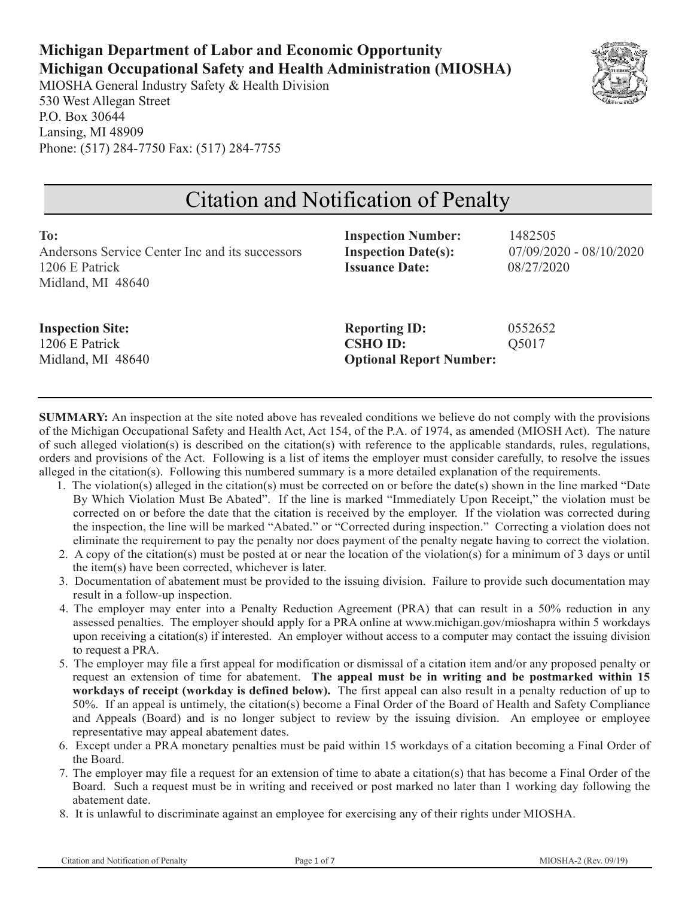## **Michigan Department of Labor and Economic Opportunity Michigan Occupational Safety and Health Administration (MIOSHA)**

MIOSHA General Industry Safety & Health Division 530 West Allegan Street P.O. Box 30644 Lansing, MI 48909 Phone: (517) 284-7750 Fax: (517) 284-7755



# Citation and Notification of Penalty

| To:                                             | <b>Inspection Number:</b>      | 1482505                   |
|-------------------------------------------------|--------------------------------|---------------------------|
| Andersons Service Center Inc and its successors | <b>Inspection Date(s):</b>     | $07/09/2020 - 08/10/2020$ |
| 1206 E Patrick                                  | <b>Issuance Date:</b>          | 08/27/2020                |
| Midland, MI 48640                               |                                |                           |
|                                                 |                                |                           |
| <b>Inspection Site:</b>                         | <b>Reporting ID:</b>           | 0552652                   |
| 1206 E Patrick                                  | <b>CSHO ID:</b>                | Q5017                     |
| Midland, MI 48640                               | <b>Optional Report Number:</b> |                           |
|                                                 |                                |                           |

**SUMMARY:** An inspection at the site noted above has revealed conditions we believe do not comply with the provisions of the Michigan Occupational Safety and Health Act, Act 154, of the P.A. of 1974, as amended (MIOSH Act). The nature of such alleged violation(s) is described on the citation(s) with reference to the applicable standards, rules, regulations, orders and provisions of the Act. Following is a list of items the employer must consider carefully, to resolve the issues alleged in the citation(s). Following this numbered summary is a more detailed explanation of the requirements.

- 1. The violation(s) alleged in the citation(s) must be corrected on or before the date(s) shown in the line marked "Date By Which Violation Must Be Abated". If the line is marked "Immediately Upon Receipt," the violation must be corrected on or before the date that the citation is received by the employer. If the violation was corrected during the inspection, the line will be marked "Abated." or "Corrected during inspection." Correcting a violation does not eliminate the requirement to pay the penalty nor does payment of the penalty negate having to correct the violation.
- 2. A copy of the citation(s) must be posted at or near the location of the violation(s) for a minimum of 3 days or until the item(s) have been corrected, whichever is later.
- 3. Documentation of abatement must be provided to the issuing division. Failure to provide such documentation may result in a follow-up inspection.
- 4. The employer may enter into a Penalty Reduction Agreement (PRA) that can result in a 50% reduction in any assessed penalties. The employer should apply for a PRA online at www.michigan.gov/mioshapra within 5 workdays upon receiving a citation(s) if interested. An employer without access to a computer may contact the issuing division to request a PRA.
- 5. The employer may file a first appeal for modification or dismissal of a citation item and/or any proposed penalty or request an extension of time for abatement. **The appeal must be in writing and be postmarked within 15 workdays of receipt (workday is defined below).** The first appeal can also result in a penalty reduction of up to 50%. If an appeal is untimely, the citation(s) become a Final Order of the Board of Health and Safety Compliance and Appeals (Board) and is no longer subject to review by the issuing division. An employee or employee representative may appeal abatement dates.
- 6. Except under a PRA monetary penalties must be paid within 15 workdays of a citation becoming a Final Order of the Board.
- 7. The employer may file a request for an extension of time to abate a citation(s) that has become a Final Order of the Board. Such a request must be in writing and received or post marked no later than 1 working day following the abatement date.
- 8. It is unlawful to discriminate against an employee for exercising any of their rights under MIOSHA.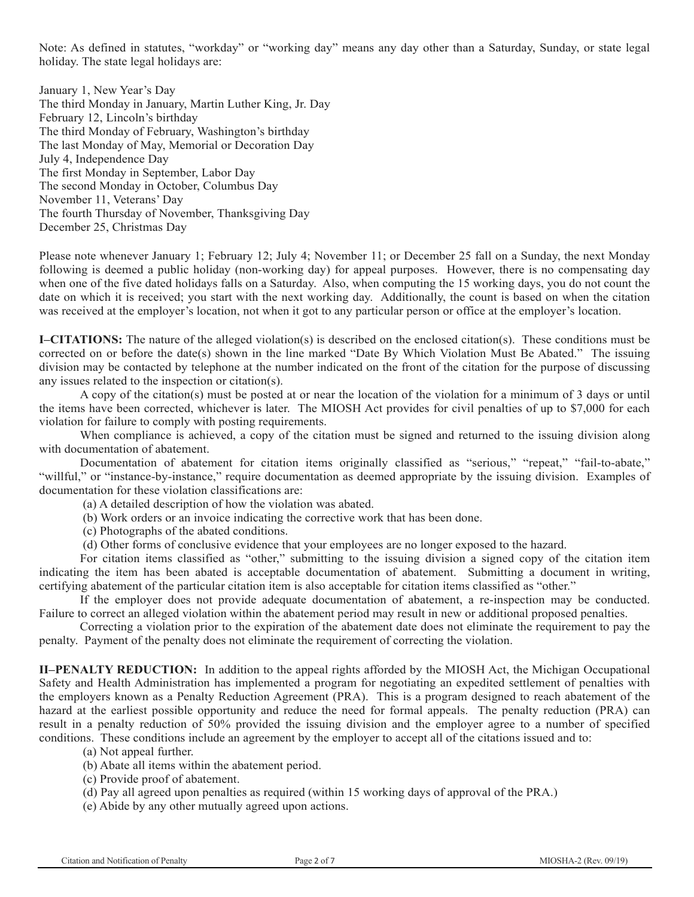Note: As defined in statutes, "workday" or "working day" means any day other than a Saturday, Sunday, or state legal holiday. The state legal holidays are:

January 1, New Year's Day The third Monday in January, Martin Luther King, Jr. Day February 12, Lincoln's birthday The third Monday of February, Washington's birthday The last Monday of May, Memorial or Decoration Day July 4, Independence Day The first Monday in September, Labor Day The second Monday in October, Columbus Day November 11, Veterans' Day The fourth Thursday of November, Thanksgiving Day December 25, Christmas Day

Please note whenever January 1; February 12; July 4; November 11; or December 25 fall on a Sunday, the next Monday following is deemed a public holiday (non-working day) for appeal purposes. However, there is no compensating day when one of the five dated holidays falls on a Saturday. Also, when computing the 15 working days, you do not count the date on which it is received; you start with the next working day. Additionally, the count is based on when the citation was received at the employer's location, not when it got to any particular person or office at the employer's location.

**I–CITATIONS:** The nature of the alleged violation(s) is described on the enclosed citation(s). These conditions must be corrected on or before the date(s) shown in the line marked "Date By Which Violation Must Be Abated." The issuing division may be contacted by telephone at the number indicated on the front of the citation for the purpose of discussing any issues related to the inspection or citation(s).

A copy of the citation(s) must be posted at or near the location of the violation for a minimum of 3 days or until the items have been corrected, whichever is later. The MIOSH Act provides for civil penalties of up to \$7,000 for each violation for failure to comply with posting requirements.

When compliance is achieved, a copy of the citation must be signed and returned to the issuing division along with documentation of abatement.

Documentation of abatement for citation items originally classified as "serious," "repeat," "fail-to-abate," "willful," or "instance-by-instance," require documentation as deemed appropriate by the issuing division. Examples of documentation for these violation classifications are:

(a) A detailed description of how the violation was abated.

(b) Work orders or an invoice indicating the corrective work that has been done.

(c) Photographs of the abated conditions.

(d) Other forms of conclusive evidence that your employees are no longer exposed to the hazard.

For citation items classified as "other," submitting to the issuing division a signed copy of the citation item indicating the item has been abated is acceptable documentation of abatement. Submitting a document in writing, certifying abatement of the particular citation item is also acceptable for citation items classified as "other."

If the employer does not provide adequate documentation of abatement, a re-inspection may be conducted. Failure to correct an alleged violation within the abatement period may result in new or additional proposed penalties.

Correcting a violation prior to the expiration of the abatement date does not eliminate the requirement to pay the penalty. Payment of the penalty does not eliminate the requirement of correcting the violation.

**II–PENALTY REDUCTION:** In addition to the appeal rights afforded by the MIOSH Act, the Michigan Occupational Safety and Health Administration has implemented a program for negotiating an expedited settlement of penalties with the employers known as a Penalty Reduction Agreement (PRA). This is a program designed to reach abatement of the hazard at the earliest possible opportunity and reduce the need for formal appeals. The penalty reduction (PRA) can result in a penalty reduction of 50% provided the issuing division and the employer agree to a number of specified conditions. These conditions include an agreement by the employer to accept all of the citations issued and to:

(a) Not appeal further.

(b) Abate all items within the abatement period.

- (c) Provide proof of abatement.
- (d) Pay all agreed upon penalties as required (within 15 working days of approval of the PRA.)
- (e) Abide by any other mutually agreed upon actions.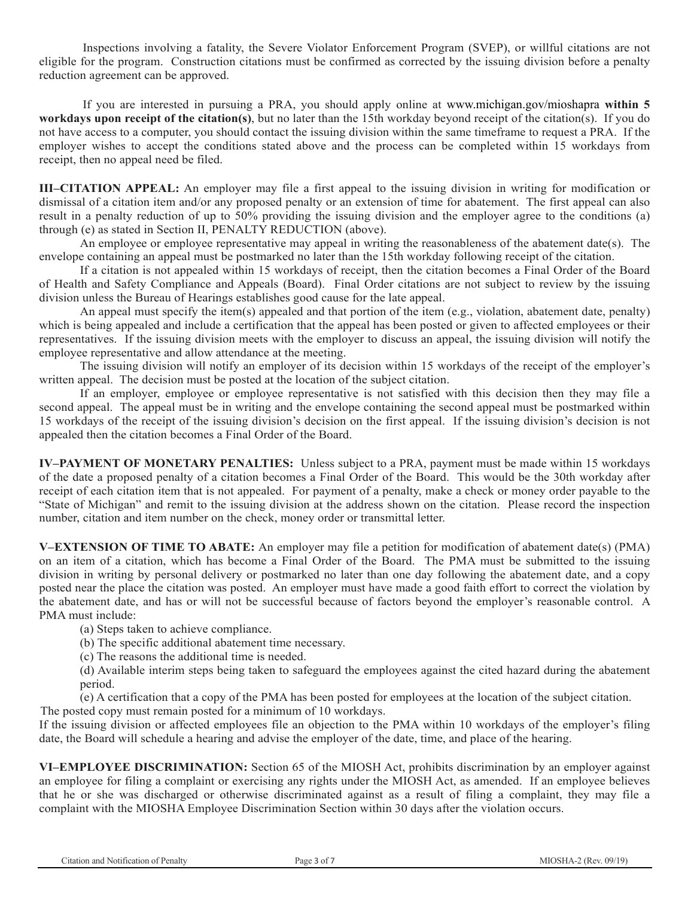Inspections involving a fatality, the Severe Violator Enforcement Program (SVEP), or willful citations are not eligible for the program. Construction citations must be confirmed as corrected by the issuing division before a penalty reduction agreement can be approved.

If you are interested in pursuing a PRA, you should apply online at www.michigan.gov/mioshapra **within 5 workdays upon receipt of the citation(s)**, but no later than the 15th workday beyond receipt of the citation(s). If you do not have access to a computer, you should contact the issuing division within the same timeframe to request a PRA. If the employer wishes to accept the conditions stated above and the process can be completed within 15 workdays from receipt, then no appeal need be filed.

**III–CITATION APPEAL:** An employer may file a first appeal to the issuing division in writing for modification or dismissal of a citation item and/or any proposed penalty or an extension of time for abatement. The first appeal can also result in a penalty reduction of up to 50% providing the issuing division and the employer agree to the conditions (a) through (e) as stated in Section II, PENALTY REDUCTION (above).

An employee or employee representative may appeal in writing the reasonableness of the abatement date(s). The envelope containing an appeal must be postmarked no later than the 15th workday following receipt of the citation.

If a citation is not appealed within 15 workdays of receipt, then the citation becomes a Final Order of the Board of Health and Safety Compliance and Appeals (Board). Final Order citations are not subject to review by the issuing division unless the Bureau of Hearings establishes good cause for the late appeal.

An appeal must specify the item(s) appealed and that portion of the item (e.g., violation, abatement date, penalty) which is being appealed and include a certification that the appeal has been posted or given to affected employees or their representatives. If the issuing division meets with the employer to discuss an appeal, the issuing division will notify the employee representative and allow attendance at the meeting.

The issuing division will notify an employer of its decision within 15 workdays of the receipt of the employer's written appeal. The decision must be posted at the location of the subject citation.

If an employer, employee or employee representative is not satisfied with this decision then they may file a second appeal. The appeal must be in writing and the envelope containing the second appeal must be postmarked within 15 workdays of the receipt of the issuing division's decision on the first appeal. If the issuing division's decision is not appealed then the citation becomes a Final Order of the Board.

**IV–PAYMENT OF MONETARY PENALTIES:** Unless subject to a PRA, payment must be made within 15 workdays of the date a proposed penalty of a citation becomes a Final Order of the Board. This would be the 30th workday after receipt of each citation item that is not appealed. For payment of a penalty, make a check or money order payable to the "State of Michigan" and remit to the issuing division at the address shown on the citation. Please record the inspection number, citation and item number on the check, money order or transmittal letter.

**V–EXTENSION OF TIME TO ABATE:** An employer may file a petition for modification of abatement date(s) (PMA) on an item of a citation, which has become a Final Order of the Board. The PMA must be submitted to the issuing division in writing by personal delivery or postmarked no later than one day following the abatement date, and a copy posted near the place the citation was posted. An employer must have made a good faith effort to correct the violation by the abatement date, and has or will not be successful because of factors beyond the employer's reasonable control. A PMA must include:

(a) Steps taken to achieve compliance.

(b) The specific additional abatement time necessary.

(c) The reasons the additional time is needed.

(d) Available interim steps being taken to safeguard the employees against the cited hazard during the abatement period.

(e) A certification that a copy of the PMA has been posted for employees at the location of the subject citation. The posted copy must remain posted for a minimum of 10 workdays.

If the issuing division or affected employees file an objection to the PMA within 10 workdays of the employer's filing date, the Board will schedule a hearing and advise the employer of the date, time, and place of the hearing.

**VI–EMPLOYEE DISCRIMINATION:** Section 65 of the MIOSH Act, prohibits discrimination by an employer against an employee for filing a complaint or exercising any rights under the MIOSH Act, as amended. If an employee believes that he or she was discharged or otherwise discriminated against as a result of filing a complaint, they may file a complaint with the MIOSHA Employee Discrimination Section within 30 days after the violation occurs.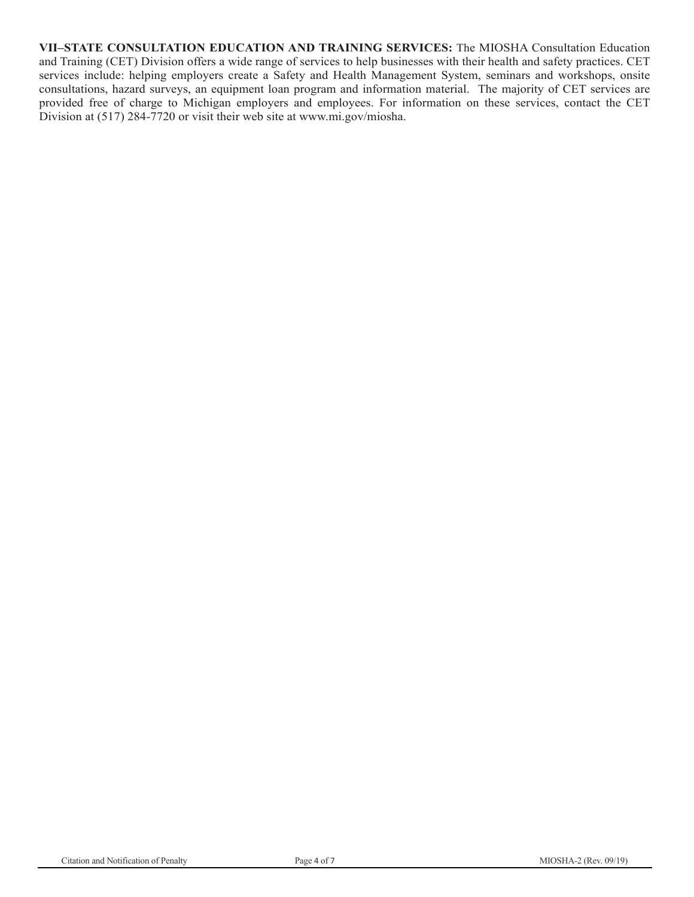**VII–STATE CONSULTATION EDUCATION AND TRAINING SERVICES:** The MIOSHA Consultation Education and Training (CET) Division offers a wide range of services to help businesses with their health and safety practices. CET services include: helping employers create a Safety and Health Management System, seminars and workshops, onsite consultations, hazard surveys, an equipment loan program and information material. The majority of CET services are provided free of charge to Michigan employers and employees. For information on these services, contact the CET Division at (517) 284-7720 or visit their web site at www.mi.gov/miosha.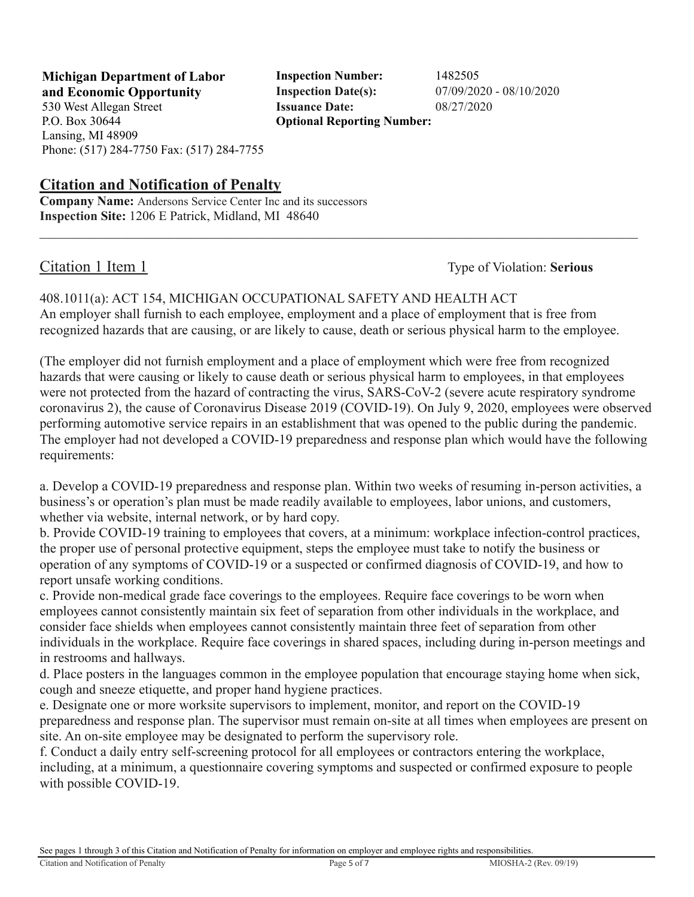**Michigan Department of Labor Inspection Number:** 1482505 **and Economic Opportunity Inspection Date(s):** 07/09/2020 - 08/10/2020 530 West Allegan Street **Issuance Date:** 08/27/2020 P.O. Box 30644

**Optional Reporting Number:** 

**Citation and Notification of Penalty**

Phone: (517) 284-7750 Fax: (517) 284-7755

**Company Name:** Andersons Service Center Inc and its successors **Inspection Site:** 1206 E Patrick, Midland, MI 48640

Lansing, MI 48909

Citation 1 Item 1 Type of Violation: **Serious**

408.1011(a): ACT 154, MICHIGAN OCCUPATIONAL SAFETY AND HEALTH ACT An employer shall furnish to each employee, employment and a place of employment that is free from recognized hazards that are causing, or are likely to cause, death or serious physical harm to the employee.

(The employer did not furnish employment and a place of employment which were free from recognized hazards that were causing or likely to cause death or serious physical harm to employees, in that employees were not protected from the hazard of contracting the virus, SARS-CoV-2 (severe acute respiratory syndrome coronavirus 2), the cause of Coronavirus Disease 2019 (COVID-19). On July 9, 2020, employees were observed performing automotive service repairs in an establishment that was opened to the public during the pandemic. The employer had not developed a COVID-19 preparedness and response plan which would have the following requirements:

a. Develop a COVID-19 preparedness and response plan. Within two weeks of resuming in-person activities, a business's or operation's plan must be made readily available to employees, labor unions, and customers, whether via website, internal network, or by hard copy.

b. Provide COVID-19 training to employees that covers, at a minimum: workplace infection-control practices, the proper use of personal protective equipment, steps the employee must take to notify the business or operation of any symptoms of COVID-19 or a suspected or confirmed diagnosis of COVID-19, and how to report unsafe working conditions.

c. Provide non-medical grade face coverings to the employees. Require face coverings to be worn when employees cannot consistently maintain six feet of separation from other individuals in the workplace, and consider face shields when employees cannot consistently maintain three feet of separation from other individuals in the workplace. Require face coverings in shared spaces, including during in-person meetings and in restrooms and hallways.

d. Place posters in the languages common in the employee population that encourage staying home when sick, cough and sneeze etiquette, and proper hand hygiene practices.

e. Designate one or more worksite supervisors to implement, monitor, and report on the COVID-19 preparedness and response plan. The supervisor must remain on-site at all times when employees are present on site. An on-site employee may be designated to perform the supervisory role.

f. Conduct a daily entry self-screening protocol for all employees or contractors entering the workplace, including, at a minimum, a questionnaire covering symptoms and suspected or confirmed exposure to people with possible COVID-19.

See pages 1 through 3 of this Citation and Notification of Penalty for information on employer and employee rights and responsibilities.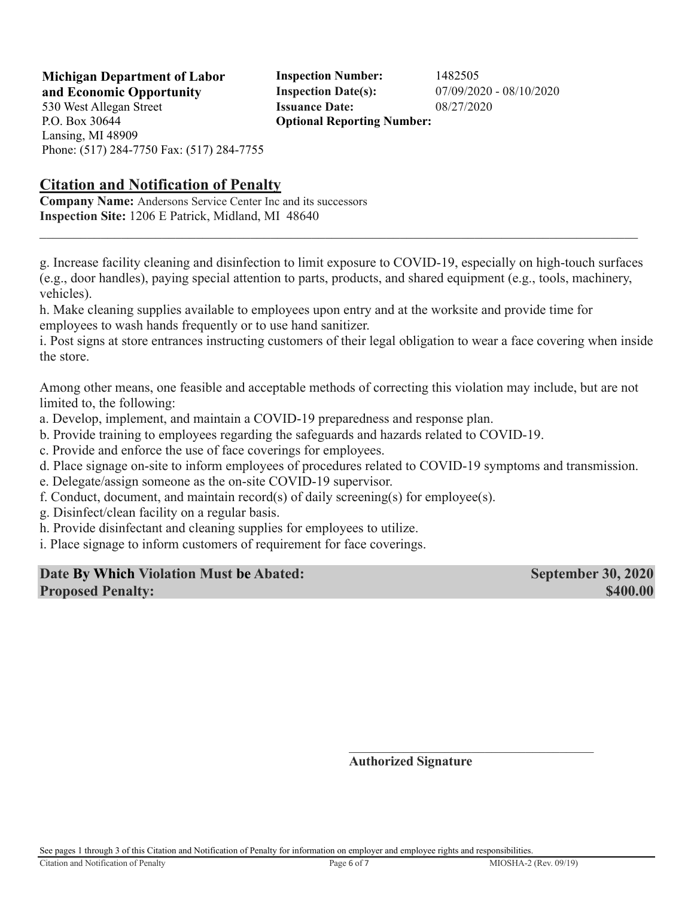**Michigan Department of Labor Inspection Number:** 1482505 **and Economic Opportunity Inspection Date(s):** 07/09/2020 - 08/10/2020 530 West Allegan Street **Issuance Date:** 08/27/2020 **Optional Reporting Number:** 

P.O. Box 30644 Lansing, MI 48909 Phone: (517) 284-7750 Fax: (517) 284-7755

### **Citation and Notification of Penalty**

**Company Name:** Andersons Service Center Inc and its successors **Inspection Site:** 1206 E Patrick, Midland, MI 48640

g. Increase facility cleaning and disinfection to limit exposure to COVID-19, especially on high-touch surfaces (e.g., door handles), paying special attention to parts, products, and shared equipment (e.g., tools, machinery, vehicles).

h. Make cleaning supplies available to employees upon entry and at the worksite and provide time for employees to wash hands frequently or to use hand sanitizer.

i. Post signs at store entrances instructing customers of their legal obligation to wear a face covering when inside the store.

Among other means, one feasible and acceptable methods of correcting this violation may include, but are not limited to, the following:

- a. Develop, implement, and maintain a COVID-19 preparedness and response plan.
- b. Provide training to employees regarding the safeguards and hazards related to COVID-19.
- c. Provide and enforce the use of face coverings for employees.
- d. Place signage on-site to inform employees of procedures related to COVID-19 symptoms and transmission.
- e. Delegate/assign someone as the on-site COVID-19 supervisor.
- f. Conduct, document, and maintain record(s) of daily screening(s) for employee(s).
- g. Disinfect/clean facility on a regular basis.
- h. Provide disinfectant and cleaning supplies for employees to utilize.
- i. Place signage to inform customers of requirement for face coverings.

| Date By Which Violation Must be Abated: | <b>September 30, 2020</b> |
|-----------------------------------------|---------------------------|
| <b>Proposed Penalty:</b>                | \$400.00                  |

**Authorized Signature**

See pages 1 through 3 of this Citation and Notification of Penalty for information on employer and employee rights and responsibilities.

 $\mathcal{L}_\text{max}$  and  $\mathcal{L}_\text{max}$  and  $\mathcal{L}_\text{max}$  and  $\mathcal{L}_\text{max}$  and  $\mathcal{L}_\text{max}$  and  $\mathcal{L}_\text{max}$